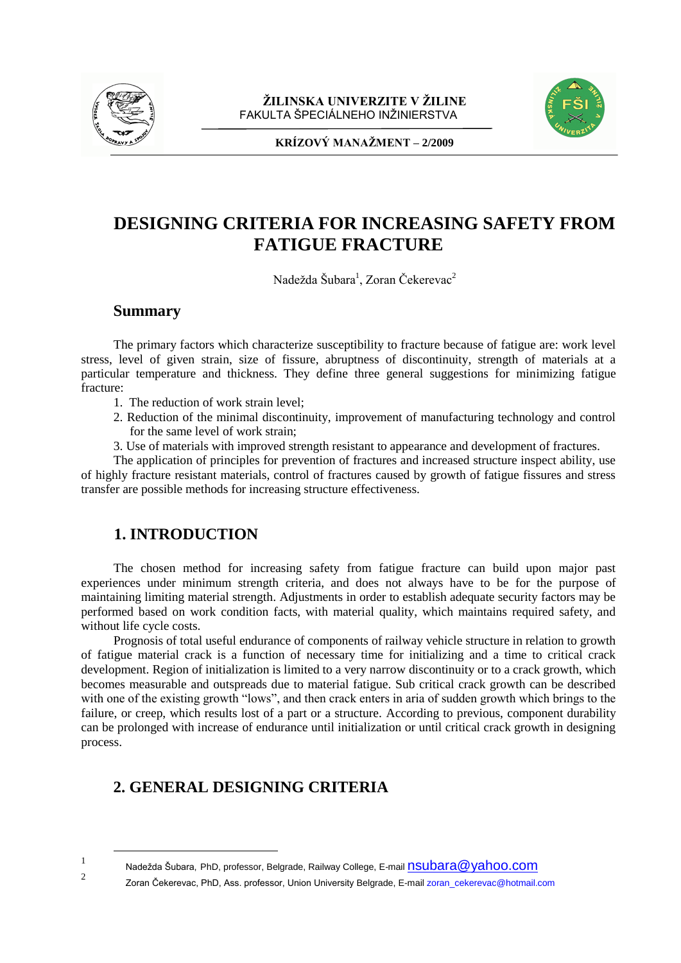



**KRÍZOVÝ MANAŽMENT – 2/2009** 

# **DESIGNING CRITERIA FOR INCREASING SAFETY FROM FATIGUE FRACTURE**

Nadežda Šubara<sup>1</sup>, Zoran Čekerevac<sup>2</sup>

### **Summary**

The primary factors which characterize susceptibility to fracture because of fatigue are: work level stress, level of given strain, size of fissure, abruptness of discontinuity, strength of materials at a particular temperature and thickness. They define three general suggestions for minimizing fatigue fracture:

- 1. The reduction of work strain level;
- 2. Reduction of the minimal discontinuity, improvement of manufacturing technology and control for the same level of work strain;
- 3. Use of materials with improved strength resistant to appearance and development of fractures.

The application of principles for prevention of fractures and increased structure inspect ability, use of highly fracture resistant materials, control of fractures caused by growth of fatigue fissures and stress transfer are possible methods for increasing structure effectiveness.

# **1. INTRODUCTION**

 $\overline{a}$ 

1

 $\overline{2}$ 

The chosen method for increasing safety from fatigue fracture can build upon major past experiences under minimum strength criteria, and does not always have to be for the purpose of maintaining limiting material strength. Adjustments in order to establish adequate security factors may be performed based on work condition facts, with material quality, which maintains required safety, and without life cycle costs.

Prognosis of total useful endurance of components of railway vehicle structure in relation to growth of fatigue material crack is a function of necessary time for initializing and a time to critical crack development. Region of initialization is limited to a very narrow discontinuity or to a crack growth, which becomes measurable and outspreads due to material fatigue. Sub critical crack growth can be described with one of the existing growth "lows", and then crack enters in aria of sudden growth which brings to the failure, or creep, which results lost of a part or a structure. According to previous, component durability can be prolonged with increase of endurance until initialization or until critical crack growth in designing process.

# **2. GENERAL DESIGNING CRITERIA**

Nadežda Šubara, PhD, professor, Belgrade, Railway College, E-mail NSUbara@yahoo.com

Zoran Čekerevac, PhD, Ass. professor, Union University Belgrade, E-mail zoran\_cekerevac@hotmail.com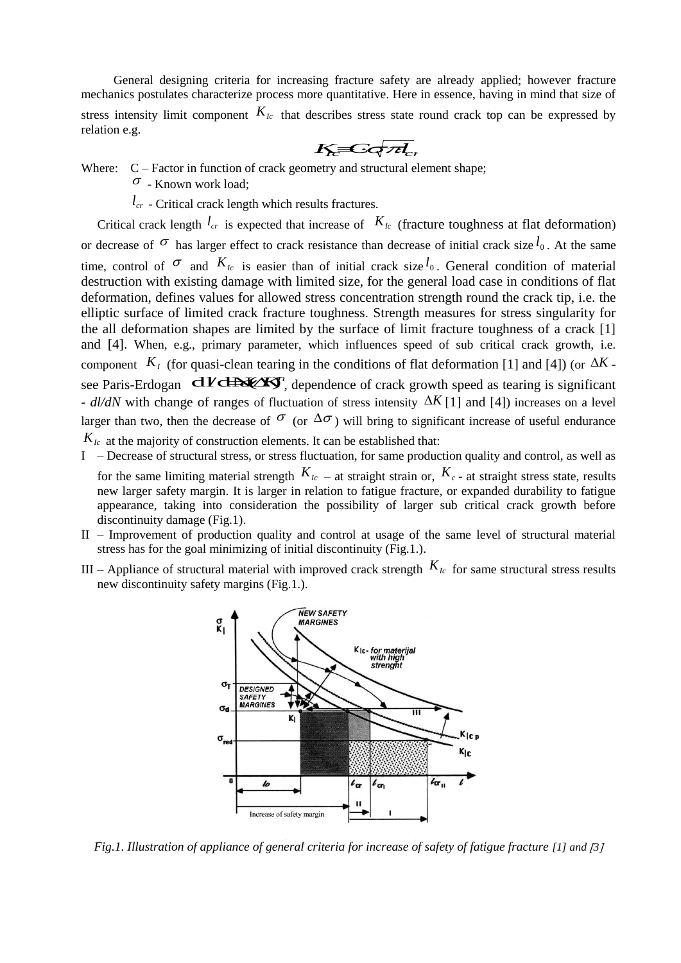General designing criteria for increasing fracture safety are already applied; however fracture mechanics postulates characterize process more quantitative. Here in essence, having in mind that size of stress intensity limit component  $K_{Ic}$  that describes stress state round crack top can be expressed by relation e.g.  $K$ *<sub>c</sub>*  $C$ *c* $\sqrt{rd}$ <sub>*c*</sub>

$$
K_{c} = G \sqrt{\mathcal{A}_{c}}
$$

Where:  $C - Factor$  in function of crack geometry and structural element shape;

- $\sigma$  Known work load:
- $l_{cr}$  Critical crack length which results fractures.

Critical crack length  $l_{cr}$  is expected that increase of  $K_{lc}$  (fracture toughness at flat deformation) or decrease of  $\sigma$  has larger effect to crack resistance than decrease of initial crack size  $l_0$ . At the same time, control of  $\sigma$  and  $K_{Ic}$  is easier than of initial crack size  $l_0$ . General condition of material destruction with existing damage with limited size, for the general load case in conditions of flat deformation, defines values for allowed stress concentration strength round the crack tip, i.e. the elliptic surface of limited crack fracture toughness. Strength measures for stress singularity for the all deformation shapes are limited by the surface of limit fracture toughness of a crack [1] and [4]. When, e.g., primary parameter, which influences speed of sub critical crack growth, i.e. component  $K_I$  (for quasi-clean tearing in the conditions of flat deformation [1] and [4]) (or  $\Delta K$  component  $R_I$  (for quasi-clean tearing in the conditions of flat deformation [1] and [4]) (or  $\Delta R$  -<br>see Paris-Erdogan  $dV \rightarrow W$  dependence of crack growth speed as tearing is significant -  $d/dN$  with change of ranges of fluctuation of stress intensity  $\Delta K$  [1] and [4]) increases on a level larger than two, then the decrease of  $\sigma$  (or  $\Delta\sigma$ ) will bring to significant increase of useful endurance  $K_{Ic}$  at the majority of construction elements. It can be established that:

I – Decrease of structural stress, or stress fluctuation, for same production quality and control, as well as

for the same limiting material strength  $K_{Ic}$  – at straight strain or,  $K_{c}$  – at straight stress state, results new larger safety margin. It is larger in relation to fatigue fracture, or expanded durability to fatigue appearance, taking into consideration the possibility of larger sub critical crack growth before discontinuity damage (Fig.1).

- II Improvement of production quality and control at usage of the same level of structural material stress has for the goal minimizing of initial discontinuity (Fig.1.).
- III Appliance of structural material with improved crack strength  $K_{Ic}$  for same structural stress results new discontinuity safety margins (Fig.1.).



*Fig.1. Illustration of appliance of general criteria for increase of safety of fatigue fracture [1] and [3]*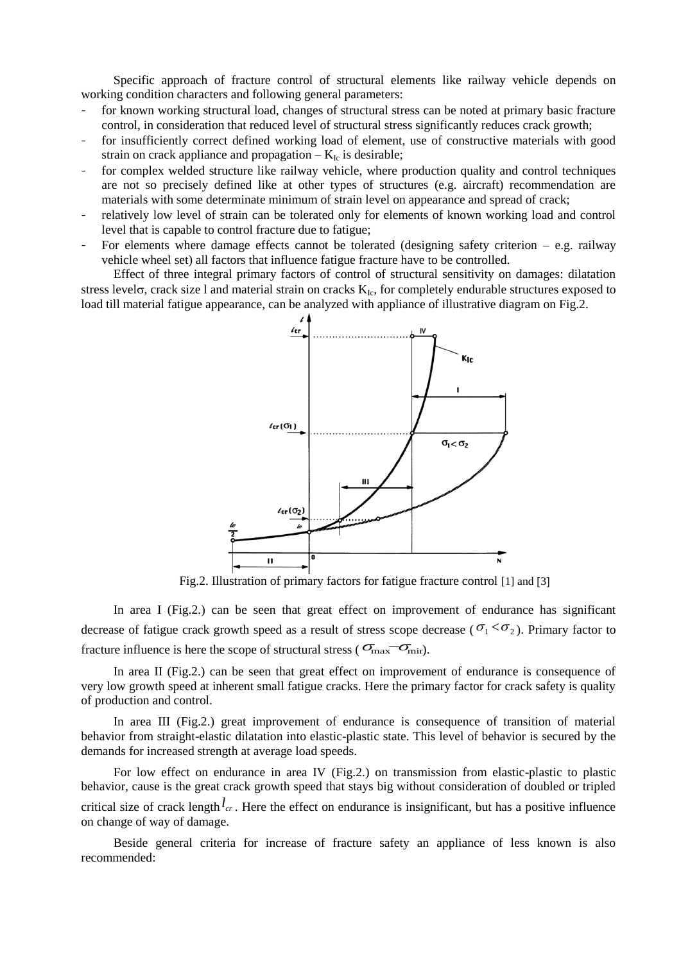Specific approach of fracture control of structural elements like railway vehicle depends on working condition characters and following general parameters:

- for known working structural load, changes of structural stress can be noted at primary basic fracture control, in consideration that reduced level of structural stress significantly reduces crack growth;
- for insufficiently correct defined working load of element, use of constructive materials with good strain on crack appliance and propagation  $-K_{Ic}$  is desirable;
- for complex welded structure like railway vehicle, where production quality and control techniques are not so precisely defined like at other types of structures (e.g. aircraft) recommendation are materials with some determinate minimum of strain level on appearance and spread of crack;
- relatively low level of strain can be tolerated only for elements of known working load and control level that is capable to control fracture due to fatigue;
- For elements where damage effects cannot be tolerated (designing safety criterion  $-$  e.g. railway vehicle wheel set) all factors that influence fatigue fracture have to be controlled.

Effect of three integral primary factors of control of structural sensitivity on damages: dilatation stress level $\sigma$ , crack size l and material strain on cracks  $K_{Ic}$ , for completely endurable structures exposed to load till material fatigue appearance, can be analyzed with appliance of illustrative diagram on Fig.2.



Fig.2. Illustration of primary factors for fatigue fracture control [1] and [3]

In area I (Fig.2.) can be seen that great effect on improvement of endurance has significant decrease of fatigue crack growth speed as a result of stress scope decrease ( $\sigma_1 < \sigma_2$ ). Primary factor to fracture influence is here the scope of structural stress ( $\sigma_{\text{max}} - \sigma_{\text{mir}}$ ).

In area II (Fig.2.) can be seen that great effect on improvement of endurance is consequence of very low growth speed at inherent small fatigue cracks. Here the primary factor for crack safety is quality of production and control.

In area III (Fig.2.) great improvement of endurance is consequence of transition of material behavior from straight-elastic dilatation into elastic-plastic state. This level of behavior is secured by the demands for increased strength at average load speeds.

For low effect on endurance in area IV (Fig.2.) on transmission from elastic-plastic to plastic behavior, cause is the great crack growth speed that stays big without consideration of doubled or tripled critical size of crack length  $l_{cr}$ . Here the effect on endurance is insignificant, but has a positive influence on change of way of damage.

Beside general criteria for increase of fracture safety an appliance of less known is also recommended: